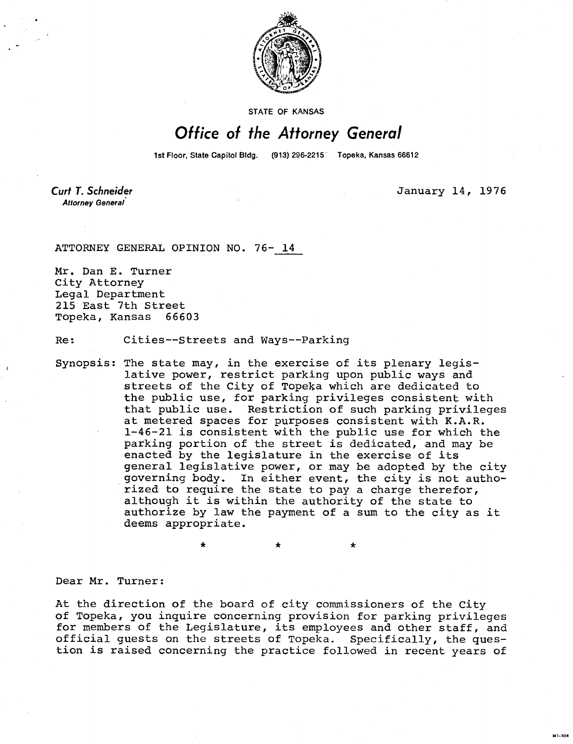

**STATE OF KANSAS** 

## Office of the Attorney General

1st Floor, State Capitol Bldg. (913) 296-2215<sup>7</sup> Topeka, Kansas 66612

**Curt T. Schneider** Attorney General

January 14, 1976

M1-104

ATTORNEY GENERAL OPINION NO. 76- 14

Mr. Dan E. Turner City Attorney Legal Department 215 East 7th Street Topeka, Kansas 66603

Re: Cities--Streets and Ways--Parking

Synopsis: The state may, in the exercise of its plenary legislative power, restrict parking upon public ways and streets of the City of Topeka which are dedicated to the public use, for parking privileges consistent with that public use. Restriction of such parking privileges at metered spaces for purposes consistent with K.A.R. 1-46-21 is consistent with the public use for which the parking portion of the street is dedicated, and may be enacted by the legislature in the exercise of its general legislative power, or may be adopted by the city governing body. In either event, the city is not authorized to require the state to pay a charge therefor, although it is within the authority of the state to authorize by law the payment of a sum to the city as it deems appropriate.

Dear Mr. Turner:

At the direction of the board of city commissioners of the City of Topeka, you inquire concerning provision for parking privileges for members of the Legislature, its employees and other staff, and official guests on the streets of Topeka. Specifically, the question is raised concerning the practice followed in recent years of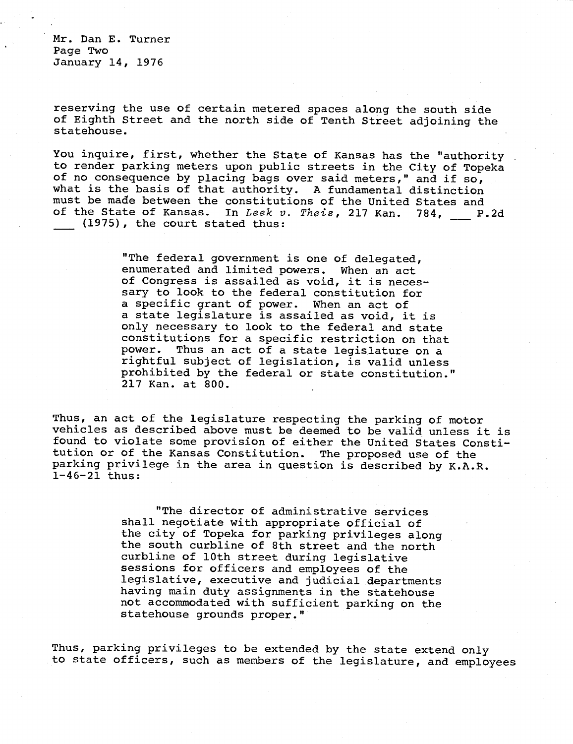Mr. Dan E. Turner Page Two January 14, 1976

reserving the use of certain metered spaces along the south side of Eighth Street and the north side of Tenth Street adjoining the statehouse.

You inquire, first, whether the State of Kansas has the "authority to render parking meters upon public streets in the City of Topeka of no consequence by placing bags over said meters," and if so, what is the basis of that authority. A fundamental distinction must be made between the constitutions of the United States and of the State of Kansas. In Leek v. Theis, 217 Kan. 784, P.2d (1975), the court stated thus:

> "The federal government is one of delegated, enumerated and limited powers. When an act of Congress is assailed as void, it is necessary to look to the federal constitution for a specific grant of power. When an act of a state legislature is assailed as void, it is only necessary to look to the federal and state constitutions for a specific restriction on that power. Thus an act of a state legislature on a rightful subject of legislation, is valid unless prohibited by the federal or state constitution." 217 Kan. at 800.

Thus, an act of the legislature respecting the parking of motor vehicles as described above must be deemed to be valid unless it is found to violate some provision of either the United States Constitution or of the Kansas Constitution. The proposed use of the parking privilege in the area in question is described by K.A.R. 1-46-21 thus:

> "The director of administrative services shall negotiate with appropriate official of the city of Topeka for parking privileges along the south curbline of 8th street and the north curbline of 10th street during legislative sessions for officers and employees of the legislative, executive and judicial departments having main duty assignments in the statehouse not accommodated with sufficient parking on the statehouse grounds proper."

Thus, parking privileges to be extended by the state extend only to state officers, such as members of the legislature, and employees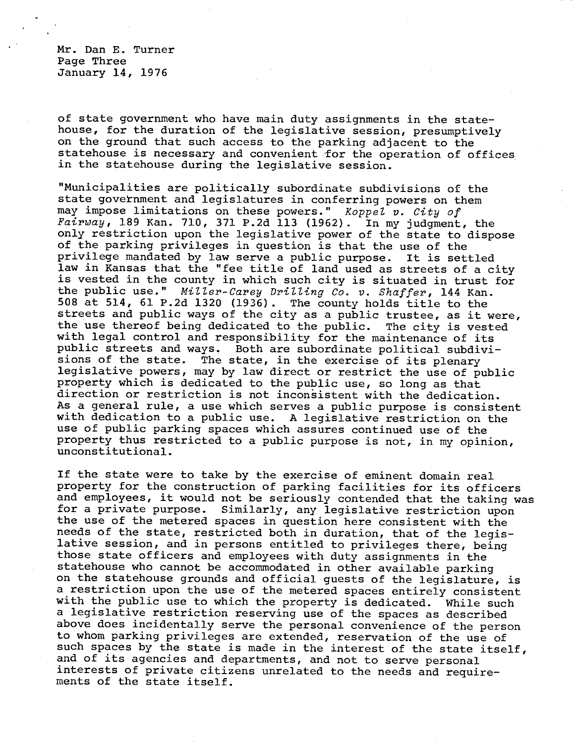Mr. Dan E. Turner Page Three January 14, 1976

of state government who have main duty assignments in the statehouse, for the duration of the legislative session, presumptively on the ground that such access to the parking adjacent to the statehouse is necessary and convenient for the operation of offices in the statehouse during the legislative session.

"Municipalities are politically subordinate subdivisions of the state government and legislatures in conferring powers on them may impose limitations on these powers." Koppel v. City of  $\overline{fairway}$ , 189 Kan. 710, 371 P.2d 113 (1962). In my judgment, the only restriction upon the legislative power of the state to dispose of the parking privileges in question is that the use of the privilege mandated by law serve a public purpose. It is settled law in Kansas that the "fee title of land used as streets of a city is vested in the county in which such city is situated in trust for the public use." Miller-Carey Drilling Co. v. Shaffer, 144 Kan. 508 at 514, 61 P.2d 1320 (1936). The county holds title to the streets and public ways of the city as a public trustee, as it were, the use thereof being dedicated to the public. The city is vested with legal control and responsibility for the maintenance of its public streets and ways. Both are subordinate political subdivisions of the state. The state, in the exercise of its plenary legislative powers, may by law direct or restrict the use of public property which is dedicated to the public use, so long as that direction or restriction is not inconsistent with the dedication. As a general rule, a use which serves a public purpose is consistent with dedication to a public use. A legislative restriction on the use of public parking spaces which assures continued use of the property thus restricted to a public purpose is not, in my opinion, unconstitutional.

If the state were to take by the exercise of eminent domain real property for the construction of parking facilities for its officers and employees, it would not be seriously contended that the taking was for a private purpose. Similarly, any legislative restriction upon the use of the metered spaces in question here consistent with the needs of the state, restricted both in duration, that of the legislative session, and in persons entitled to privileges there, being those state officers and employees with duty assignments in the statehouse who cannot be accommodated in other available parking on the statehouse grounds and official guests of the legislature, is a restriction upon the use of the metered spaces entirely consistent with the public use to which the property is dedicated. While such a legislative restriction reserving use of the spaces as described above does incidentally serve the personal convenience of the person to whom parking privileges are extended, reservation of the use of such spaces by the state is made in the interest of the state itself, and of its agencies and departments, and not to serve personal interests of private citizens unrelated to the needs and requirements of the state itself.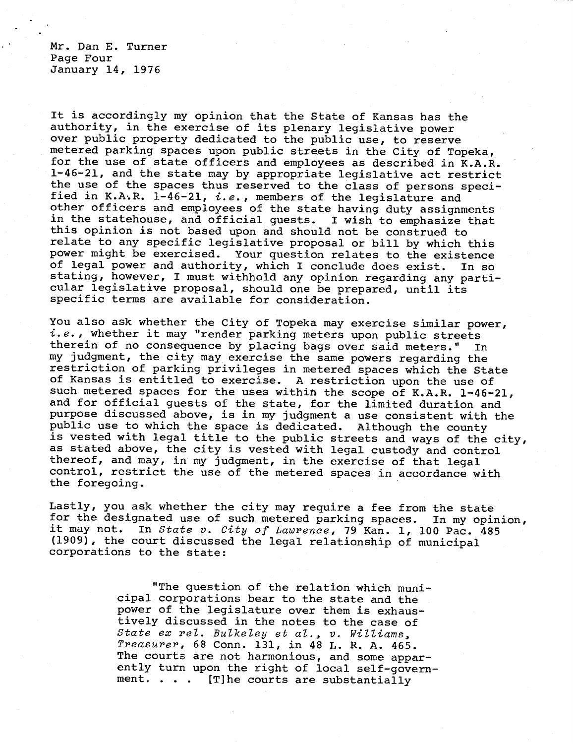Mr. Dan E. Turner Page Four January 14, 1976

It is accordingly my opinion that the State of Kansas has the authority, in the exercise of its plenary legislative power over public property dedicated to the public use, to reserve metered parking spaces upon public streets in the City of Topeka, for the use of state officers and employees as described in K.A.R. 1-46-21, and the state may by appropriate legislative act restrict the use of the spaces thus reserved to the class of persons specified in K.A.R. 1-46-21, i.e., members of the legislature and other officers and employees of the state having duty assignments in the statehouse, and official guests. I wish to emphasize that this opinion is not based upon and should not be construed to relate to any specific legislative proposal or bill by which this power might be exercised. Your question relates to the existence of legal power and authority, which I conclude does exist. In so stating, however, I must withhold any opinion regarding any particular legislative proposal, should one be prepared, until its specific terms are available for consideration.

You also ask whether the City of Topeka may exercise similar power, i.e., whether it may "render parking meters upon public streets therein of no consequence by placing bags over said meters." In my judgment, the city may exercise the same powers regarding the restriction of parking privileges in metered spaces which the State of Kansas is entitled to exercise. A restriction upon the use of such metered spaces for the uses within the scope of K.A.R. 1-46-21, and for official guests of the state, for the limited duration and purpose discussed above, is in my judgment a use consistent with the public use to which the space is dedicated. Although the county is vested with legal title to the public streets and ways of the city, as stated above, the city is vested with legal custody and control thereof, and may, in my judgment, in the exercise of that legal control, restrict the use of the metered spaces in accordance with the foregoing.

Lastly, you ask whether the city may require a fee from the state for the designated use of such metered parking spaces. In my opinion, it may not. In State v. City of Lawrence, 79 Kan. 1, 100 Pac. 485 (1909), the court discussed the legal relationship of municipal corporations to the state:

> "The question of the relation which municipal corporations bear to the state and the power of the legislature over them is exhaustively discussed in the notes to the case of State ex rel. Bulkeley et al., v. Williams, Treasurer, 68 Conn. 131, in 48 L. R. A. 465. The courts are not harmonious, and some apparently turn upon the right of local self-government. . . . [T]he courts are substantially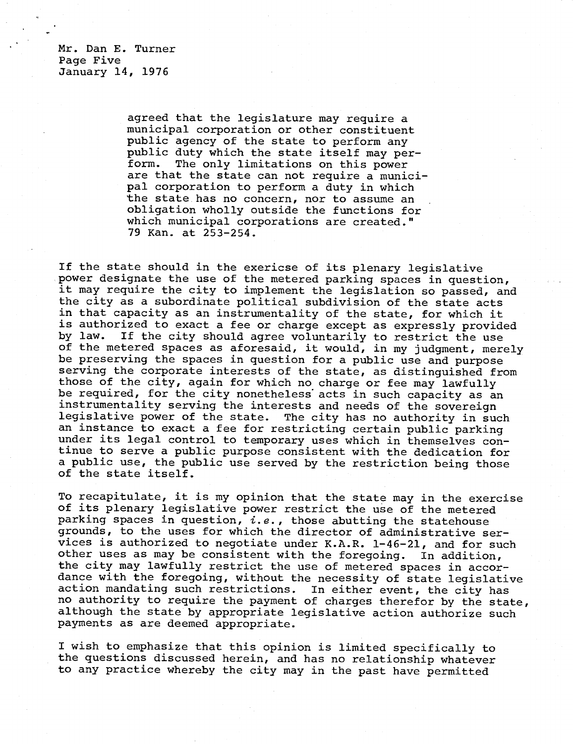Mr. Dan E. Turner Page Five January 14, 1976

> agreed that the legislature may require a municipal corporation or other constituent public agency of the state to perform any public duty which the state itself may perform. The only limitations on this power are that the state can not require a municipal corporation to perform a duty in which the state has no concern, nor to assume an obligation wholly outside the functions for which municipal corporations are created." 79 Kan. at 253-254.

If the state should in the exericse of its plenary legislative power designate the use of the metered parking spaces in question, it may require the city to implement the legislation so passed, and the city as a subordinate political subdivision of the state acts in that capacity as an instrumentality of the state, for which it is authorized to exact a fee or charge except as expressly provided by law. If the city should agree voluntarily to restrict the use of the metered spaces as aforesaid, it would, in my judgment, merely be preserving the spaces in question for a public use and purpose serving the corporate interests of the state, as distinguished from those of the city, again for which no charge or fee may lawfully be required, for the city nonetheless acts in such capacity as an instrumentality serving the interests and needs of the sovereign legislative power of the state. The city has no authority in such an instance to exact a fee for restricting certain public parking under its legal control to temporary uses which in themselves continue to serve a public purpose consistent with the dedication for a public use, the public use served by the restriction being those of the state itself.

To recapitulate, it is my opinion that the state may in the exercise of its plenary legislative power restrict the use of the metered parking spaces in question,  $i.e.,$  those abutting the statehouse grounds, to the uses for which the director of administrative services is authorized to negotiate under K.A.R. 1-46-21, and for such other uses as may be consistent with the foregoing. In addition, the city may lawfully restrict the use of metered spaces in accordance with the foregoing, without the necessity of state legislative action mandating such restrictions. In either event, the city has no authority to require the payment of charges therefor by the state, although the state by appropriate legislative action authorize such payments as are deemed appropriate.

I wish to emphasize that this opinion is limited specifically to the questions discussed herein, and has no relationship whatever to any practice whereby the city may in the past have permitted